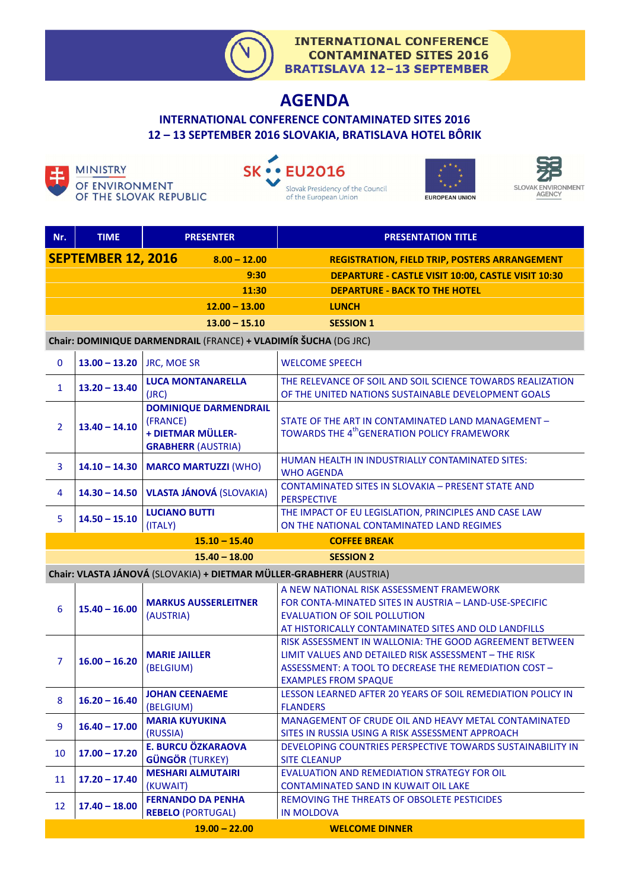

# **AGENDA**

**INTERNATIONAL CONFERENCE CONTAMINATED SITES 2016 12 – 13 SEPTEMBER 2016 SLOVAKIA, BRATISLAVA HOTEL BÔRIK**



OF THE SLOVAK REPUBLIC







| Nr.                                                                 | <b>TIME</b>               | <b>PRESENTER</b>                                                                           | <b>PRESENTATION TITLE</b>                                                                                                                                                                               |  |  |
|---------------------------------------------------------------------|---------------------------|--------------------------------------------------------------------------------------------|---------------------------------------------------------------------------------------------------------------------------------------------------------------------------------------------------------|--|--|
|                                                                     | <b>SEPTEMBER 12, 2016</b> | $8.00 - 12.00$                                                                             | <b>REGISTRATION, FIELD TRIP, POSTERS ARRANGEMENT</b>                                                                                                                                                    |  |  |
|                                                                     |                           | 9:30                                                                                       | DEPARTURE - CASTLE VISIT 10:00, CASTLE VISIT 10:30                                                                                                                                                      |  |  |
|                                                                     |                           | 11:30                                                                                      | <b>DEPARTURE - BACK TO THE HOTEL</b>                                                                                                                                                                    |  |  |
|                                                                     |                           | $12.00 - 13.00$                                                                            | <b>LUNCH</b>                                                                                                                                                                                            |  |  |
|                                                                     |                           | $13.00 - 15.10$                                                                            | <b>SESSION 1</b>                                                                                                                                                                                        |  |  |
| Chair: DOMINIQUE DARMENDRAIL (FRANCE) + VLADIMÍR ŠUCHA (DG JRC)     |                           |                                                                                            |                                                                                                                                                                                                         |  |  |
| $\mathbf 0$                                                         | $13.00 - 13.20$           | <b>JRC, MOE SR</b>                                                                         | <b>WELCOME SPEECH</b>                                                                                                                                                                                   |  |  |
| $\mathbf{1}$                                                        | $13.20 - 13.40$           | <b>LUCA MONTANARELLA</b><br>(JRC)                                                          | THE RELEVANCE OF SOIL AND SOIL SCIENCE TOWARDS REALIZATION<br>OF THE UNITED NATIONS SUSTAINABLE DEVELOPMENT GOALS                                                                                       |  |  |
| $\overline{2}$                                                      | $13.40 - 14.10$           | <b>DOMINIQUE DARMENDRAIL</b><br>(FRANCE)<br>+ DIETMAR MÜLLER-<br><b>GRABHERR (AUSTRIA)</b> | STATE OF THE ART IN CONTAMINATED LAND MANAGEMENT -<br>TOWARDS THE 4 <sup>th</sup> GENERATION POLICY FRAMEWORK                                                                                           |  |  |
| $\overline{3}$                                                      | $14.10 - 14.30$           | <b>MARCO MARTUZZI (WHO)</b>                                                                | HUMAN HEALTH IN INDUSTRIALLY CONTAMINATED SITES:<br><b>WHO AGENDA</b>                                                                                                                                   |  |  |
| 4                                                                   |                           | 14.30 - 14.50 VLASTA JÁNOVÁ (SLOVAKIA)                                                     | <b>CONTAMINATED SITES IN SLOVAKIA - PRESENT STATE AND</b><br><b>PERSPECTIVE</b>                                                                                                                         |  |  |
| 5                                                                   | $14.50 - 15.10$           | <b>LUCIANO BUTTI</b><br>(ITALY)                                                            | THE IMPACT OF EU LEGISLATION, PRINCIPLES AND CASE LAW<br>ON THE NATIONAL CONTAMINATED LAND REGIMES                                                                                                      |  |  |
|                                                                     |                           | $15.10 - 15.40$                                                                            | <b>COFFEE BREAK</b>                                                                                                                                                                                     |  |  |
|                                                                     |                           | $15.40 - 18.00$                                                                            | <b>SESSION 2</b>                                                                                                                                                                                        |  |  |
| Chair: VLASTA JÁNOVÁ (SLOVAKIA) + DIETMAR MÜLLER-GRABHERR (AUSTRIA) |                           |                                                                                            |                                                                                                                                                                                                         |  |  |
| $6\phantom{1}6$                                                     | $15.40 - 16.00$           | <b>MARKUS AUSSERLEITNER</b><br>(AUSTRIA)                                                   | A NEW NATIONAL RISK ASSESSMENT FRAMEWORK<br>FOR CONTA-MINATED SITES IN AUSTRIA - LAND-USE-SPECIFIC<br><b>EVALUATION OF SOIL POLLUTION</b><br>AT HISTORICALLY CONTAMINATED SITES AND OLD LANDFILLS       |  |  |
| $\overline{7}$                                                      | $16.00 - 16.20$           | <b>MARIE JAILLER</b><br>(BELGIUM)                                                          | RISK ASSESSMENT IN WALLONIA: THE GOOD AGREEMENT BETWEEN<br>LIMIT VALUES AND DETAILED RISK ASSESSMENT - THE RISK<br>ASSESSMENT: A TOOL TO DECREASE THE REMEDIATION COST -<br><b>EXAMPLES FROM SPAQUE</b> |  |  |
| 8                                                                   | $16.20 - 16.40$           | <b>JOHAN CEENAEME</b><br>(BELGIUM)                                                         | LESSON LEARNED AFTER 20 YEARS OF SOIL REMEDIATION POLICY IN<br><b>FLANDERS</b>                                                                                                                          |  |  |
| 9                                                                   | $16.40 - 17.00$           | <b>MARIA KUYUKINA</b><br>(RUSSIA)                                                          | MANAGEMENT OF CRUDE OIL AND HEAVY METAL CONTAMINATED<br>SITES IN RUSSIA USING A RISK ASSESSMENT APPROACH                                                                                                |  |  |
| 10                                                                  | $17.00 - 17.20$           | <b>E. BURCU ÖZKARAOVA</b><br><b>GÜNGÖR (TURKEY)</b>                                        | DEVELOPING COUNTRIES PERSPECTIVE TOWARDS SUSTAINABILITY IN<br><b>SITE CLEANUP</b>                                                                                                                       |  |  |
| 11                                                                  | $17.20 - 17.40$           | <b>MESHARI ALMUTAIRI</b><br>(KUWAIT)                                                       | <b>EVALUATION AND REMEDIATION STRATEGY FOR OIL</b><br><b>CONTAMINATED SAND IN KUWAIT OIL LAKE</b>                                                                                                       |  |  |
| 12                                                                  | $17.40 - 18.00$           | <b>FERNANDO DA PENHA</b><br><b>REBELO (PORTUGAL)</b>                                       | REMOVING THE THREATS OF OBSOLETE PESTICIDES<br><b>IN MOLDOVA</b>                                                                                                                                        |  |  |
|                                                                     |                           | $19.00 - 22.00$                                                                            | <b>WELCOME DINNER</b>                                                                                                                                                                                   |  |  |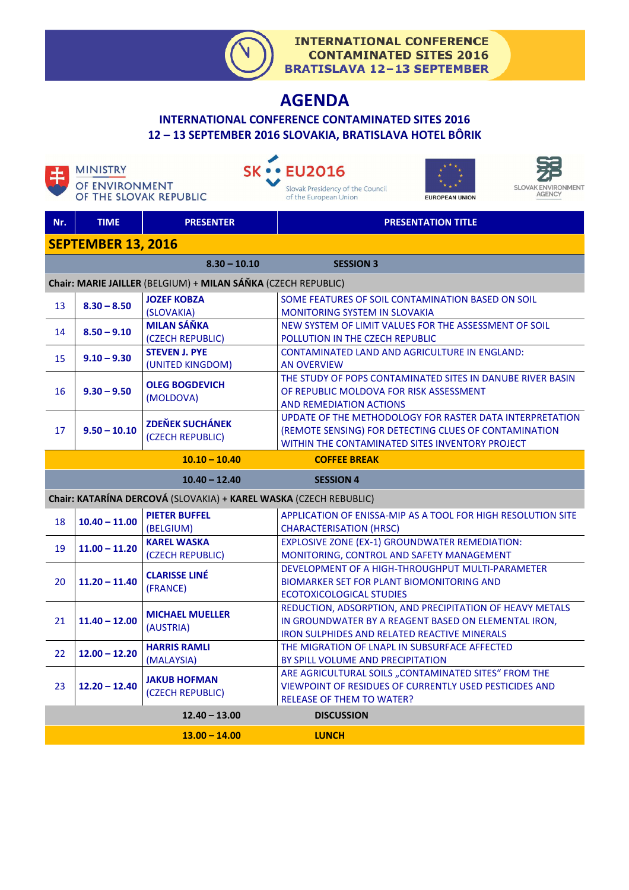

ARE AGRICULTURAL SOILS "CONTAMINATED SITES" FROM THE VIEWPOINT OF RESIDUES OF CURRENTLY USED PESTICIDES AND

RELEASE OF THEM TO WATER?

## **AGENDA**

#### **INTERNATIONAL CONFERENCE CONTAMINATED SITES 2016 12 – 13 SEPTEMBER 2016 SLOVAKIA, BRATISLAVA HOTEL BÔRIK**

**SK · · EU2016** 

|                                                                   | OF ENVIRONMENT<br>OF THE SLOVAK REPUBLIC |                                            | <b>SLOVAK ENVIRONMENT</b><br>Slovak Presidency of the Council<br><b>AGENCY</b><br>of the European Union<br><b>EUROPEAN UNION</b>                                     |  |  |  |  |
|-------------------------------------------------------------------|------------------------------------------|--------------------------------------------|----------------------------------------------------------------------------------------------------------------------------------------------------------------------|--|--|--|--|
| Nr.                                                               | <b>TIME</b>                              | <b>PRESENTER</b>                           | <b>PRESENTATION TITLE</b>                                                                                                                                            |  |  |  |  |
| <b>SEPTEMBER 13, 2016</b>                                         |                                          |                                            |                                                                                                                                                                      |  |  |  |  |
|                                                                   |                                          | $8.30 - 10.10$                             | <b>SESSION 3</b>                                                                                                                                                     |  |  |  |  |
| Chair: MARIE JAILLER (BELGIUM) + MILAN SÁŇKA (CZECH REPUBLIC)     |                                          |                                            |                                                                                                                                                                      |  |  |  |  |
| 13                                                                | $8.30 - 8.50$                            | <b>JOZEF KOBZA</b><br>(SLOVAKIA)           | SOME FEATURES OF SOIL CONTAMINATION BASED ON SOIL<br><b>MONITORING SYSTEM IN SLOVAKIA</b>                                                                            |  |  |  |  |
| 14                                                                | $8.50 - 9.10$                            | <b>MILAN SÁŇKA</b><br>(CZECH REPUBLIC)     | NEW SYSTEM OF LIMIT VALUES FOR THE ASSESSMENT OF SOIL<br>POLLUTION IN THE CZECH REPUBLIC                                                                             |  |  |  |  |
| 15                                                                | $9.10 - 9.30$                            | <b>STEVEN J. PYE</b><br>(UNITED KINGDOM)   | <b>CONTAMINATED LAND AND AGRICULTURE IN ENGLAND:</b><br><b>AN OVERVIEW</b>                                                                                           |  |  |  |  |
| 16                                                                | $9.30 - 9.50$                            | <b>OLEG BOGDEVICH</b><br>(MOLDOVA)         | THE STUDY OF POPS CONTAMINATED SITES IN DANUBE RIVER BASIN<br>OF REPUBLIC MOLDOVA FOR RISK ASSESSMENT<br><b>AND REMEDIATION ACTIONS</b>                              |  |  |  |  |
| 17                                                                | $9.50 - 10.10$                           | <b>ZDEŇEK SUCHÁNEK</b><br>(CZECH REPUBLIC) | UPDATE OF THE METHODOLOGY FOR RASTER DATA INTERPRETATION<br>(REMOTE SENSING) FOR DETECTING CLUES OF CONTAMINATION<br>WITHIN THE CONTAMINATED SITES INVENTORY PROJECT |  |  |  |  |
| $10.10 - 10.40$<br><b>COFFEE BREAK</b>                            |                                          |                                            |                                                                                                                                                                      |  |  |  |  |
| $10.40 - 12.40$<br><b>SESSION 4</b>                               |                                          |                                            |                                                                                                                                                                      |  |  |  |  |
| Chair: KATARÍNA DERCOVÁ (SLOVAKIA) + KAREL WASKA (CZECH REBUBLIC) |                                          |                                            |                                                                                                                                                                      |  |  |  |  |
| 18                                                                | $10.40 - 11.00$                          | <b>PIETER BUFFEL</b><br>(BELGIUM)          | APPLICATION OF ENISSA-MIP AS A TOOL FOR HIGH RESOLUTION SITE<br><b>CHARACTERISATION (HRSC)</b>                                                                       |  |  |  |  |
| 19                                                                | $11.00 - 11.20$                          | <b>KAREL WASKA</b><br>(CZECH REPUBLIC)     | <b>EXPLOSIVE ZONE (EX-1) GROUNDWATER REMEDIATION:</b><br>MONITORING, CONTROL AND SAFETY MANAGEMENT                                                                   |  |  |  |  |
| 20                                                                | $11.20 - 11.40$                          | <b>CLARISSE LINÉ</b><br>(FRANCE)           | DEVELOPMENT OF A HIGH-THROUGHPUT MULTI-PARAMETER<br><b>BIOMARKER SET FOR PLANT BIOMONITORING AND</b><br><b>ECOTOXICOLOGICAL STUDIES</b>                              |  |  |  |  |
| 21                                                                | $11.40 - 12.00$                          | <b>MICHAEL MUELLER</b><br>(AUSTRIA)        | REDUCTION, ADSORPTION, AND PRECIPITATION OF HEAVY METALS<br>IN GROUNDWATER BY A REAGENT BASED ON ELEMENTAL IRON,<br>IRON SULPHIDES AND RELATED REACTIVE MINERALS     |  |  |  |  |
| 22                                                                | $12.00 - 12.20$                          | <b>HARRIS RAMLI</b><br>(MALAYSIA)          | THE MIGRATION OF LNAPL IN SUBSURFACE AFFECTED<br>BY SPILL VOLUME AND PRECIPITATION                                                                                   |  |  |  |  |

 **12.40 – 13.00 DISCUSSION**

 **13.00 – 14.00 LUNCH** 

<sup>23</sup>**12.20 – 12.40 JAKUB HOFMAN** 

**MINISTRY** 

(CZECH REPUBLIC)